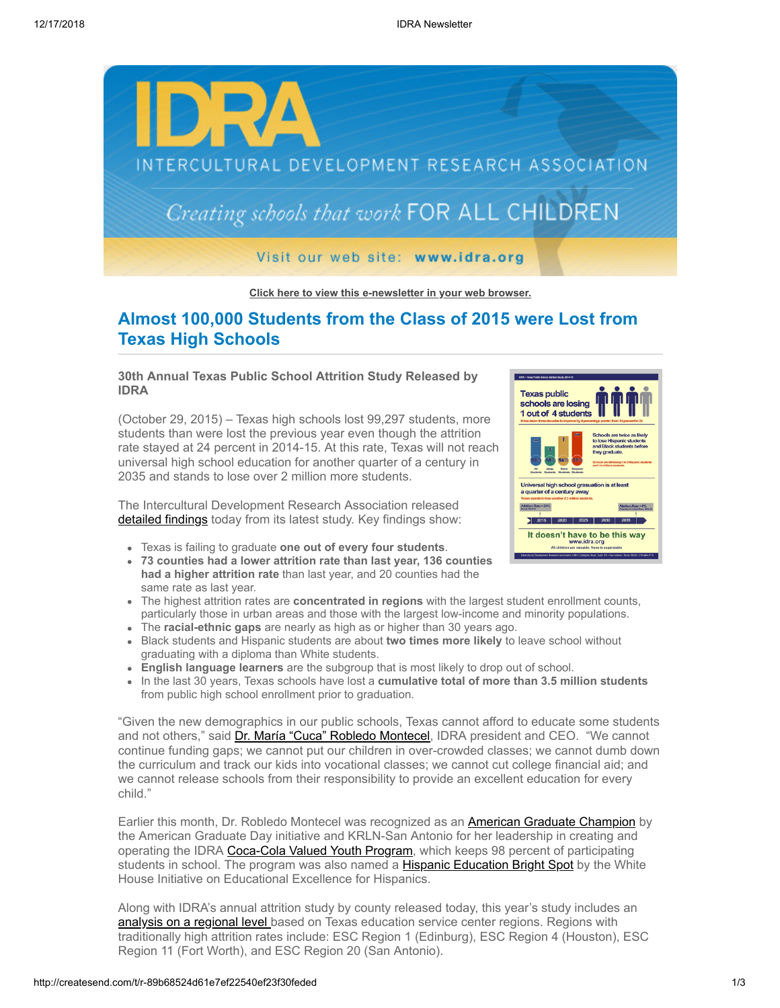

**[Click here to view this e-newsletter in your web browser.](http://newsletter.impulsedevelopment.com/t/r-e-ztuluo-l-r/)**

# **Almost 100,000 Students from the Class of 2015 were Lost from Texas High Schools**

## **30th Annual Texas Public School Attrition Study Released by IDRA**

(October 29, 2015) – Texas high schools lost 99,297 students, more students than were lost the previous year even though the attrition rate stayed at 24 percent in 2014-15. At this rate, Texas will not reach universal high school education for another quarter of a century in 2035 and stands to lose over 2 million more students.

The Intercultural Development Research Association released [detailed findings](http://idra.createsend1.com/t/r-l-ztuluo-l-i/) today from its latest study. Key findings show:

- Texas is failing to graduate **one out of every four students**.
- **73 counties had a lower attrition rate than last year, 136 counties had a higher attrition rate** than last year, and 20 counties had the same rate as last year.
- The highest attrition rates are **concentrated in regions** with the largest student enrollment counts, particularly those in urban areas and those with the largest low-income and minority populations.
- The **racial-ethnic gaps** are nearly as high as or higher than 30 years ago.
- Black students and Hispanic students are about **two times more likely** to leave school without graduating with a diploma than White students.
- **English language learners** are the subgroup that is most likely to drop out of school.
- In the last 30 years, Texas schools have lost a **cumulative total of more than 3.5 million students** from public high school enrollment prior to graduation.

"Given the new demographics in our public schools, Texas cannot afford to educate some students and not others," said [Dr. María "Cuca" Robledo Montecel,](http://idra.createsend1.com/t/r-l-ztuluo-l-d/) IDRA president and CEO. "We cannot continue funding gaps; we cannot put our children in over-crowded classes; we cannot dumb down the curriculum and track our kids into vocational classes; we cannot cut college financial aid; and we cannot release schools from their responsibility to provide an excellent education for every child."

Earlier this month, Dr. Robledo Montecel was recognized as an **American Graduate Champion** by the American Graduate Day initiative and KRLN-San Antonio for her leadership in creating and operating the IDRA [Coca-Cola Valued Youth Program](http://idra.createsend1.com/t/r-l-ztuluo-l-b/), which keeps 98 percent of participating students in school. The program was also named a **[Hispanic Education Bright Spot](http://idra.createsend1.com/t/r-l-ztuluo-l-n/)** by the White House Initiative on Educational Excellence for Hispanics.

Along with IDRA's annual attrition study by county released today, this year's study includes an [analysis on a regional level b](http://idra.createsend1.com/t/r-l-ztuluo-l-p/)ased on Texas education service center regions. Regions with traditionally high attrition rates include: ESC Region 1 (Edinburg), ESC Region 4 (Houston), ESC Region 11 (Fort Worth), and ESC Region 20 (San Antonio).

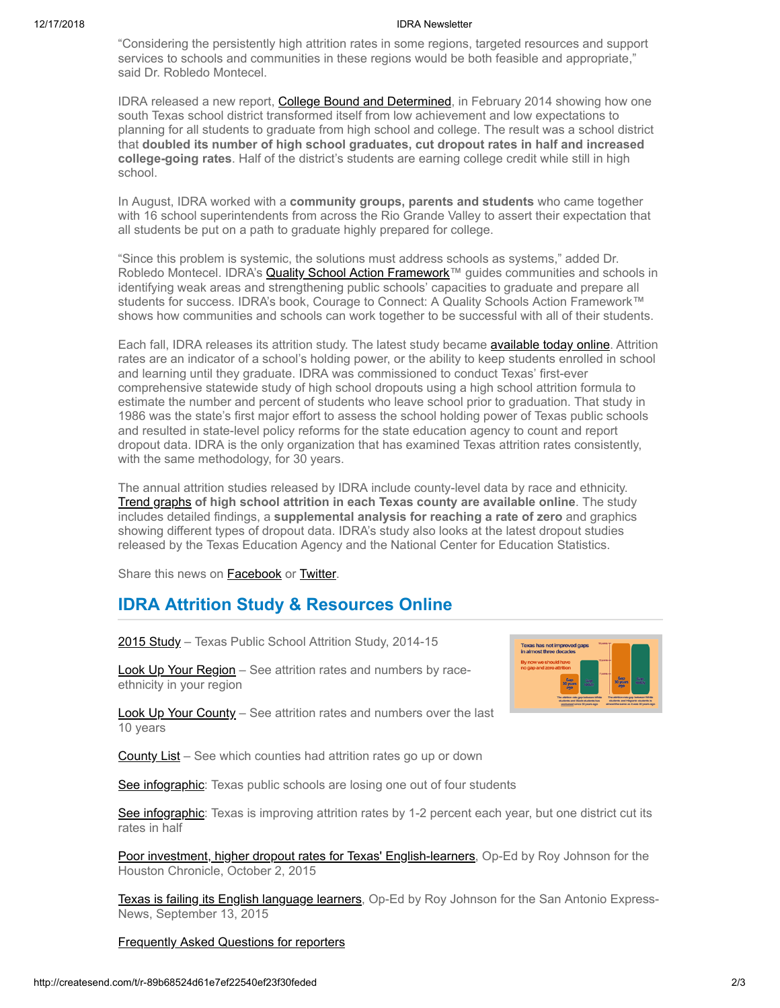#### 12/17/2018 IDRA Newsletter

"Considering the persistently high attrition rates in some regions, targeted resources and support services to schools and communities in these regions would be both feasible and appropriate," said Dr. Robledo Montecel.

IDRA released a new report, [College Bound and Determined](http://idra.createsend1.com/t/r-l-ztuluo-l-x/), in February 2014 showing how one south Texas school district transformed itself from low achievement and low expectations to planning for all students to graduate from high school and college. The result was a school district that **doubled its number of high school graduates, cut dropout rates in half and increased college-going rates**. Half of the district's students are earning college credit while still in high school.

In August, IDRA worked with a **community groups, parents and students** who came together with 16 school superintendents from across the Rio Grande Valley to assert their expectation that all students be put on a path to graduate highly prepared for college.

"Since this problem is systemic, the solutions must address schools as systems," added Dr. Robledo Montecel. IDRA's [Quality School Action Framework](http://idra.createsend1.com/t/r-l-ztuluo-l-m/)™ guides communities and schools in identifying weak areas and strengthening public schools' capacities to graduate and prepare all students for success. IDRA's book, Courage to Connect: A Quality Schools Action Framework™ shows how communities and schools can work together to be successful with all of their students.

Each fall, IDRA releases its attrition study. The latest study became [available today online.](http://idra.createsend1.com/t/r-l-ztuluo-l-c/) Attrition rates are an indicator of a school's holding power, or the ability to keep students enrolled in school and learning until they graduate. IDRA was commissioned to conduct Texas' first-ever comprehensive statewide study of high school dropouts using a high school attrition formula to estimate the number and percent of students who leave school prior to graduation. That study in 1986 was the state's first major effort to assess the school holding power of Texas public schools and resulted in state-level policy reforms for the state education agency to count and report dropout data. IDRA is the only organization that has examined Texas attrition rates consistently, with the same methodology, for 30 years.

The annual attrition studies released by IDRA include county-level data by race and ethnicity. [Trend graphs](http://idra.createsend1.com/t/r-l-ztuluo-l-q/) **of high school attrition in each Texas county are available online**. The study includes detailed findings, a **supplemental analysis for reaching a rate of zero** and graphics showing different types of dropout data. IDRA's study also looks at the latest dropout studies released by the Texas Education Agency and the National Center for Education Statistics.

Share this news on **Facebook** or **Twitter**.

# **IDRA Attrition Study & Resources Online**

[2015 Study](http://idra.createsend1.com/t/r-l-ztuluo-l-a/) – Texas Public School Attrition Study, 2014-15

[Look Up Your Region](http://idra.createsend1.com/t/r-l-ztuluo-l-f/) - See attrition rates and numbers by raceethnicity in your region



[Look Up Your County](http://idra.createsend1.com/t/r-l-ztuluo-l-z/) - See attrition rates and numbers over the last 10 years

[County List](http://idra.createsend1.com/t/r-l-ztuluo-l-v/) – See which counties had attrition rates go up or down

[See infographic](http://idra.createsend1.com/t/r-l-ztuluo-l-e/): Texas public schools are losing one out of four students

[See infographic](http://idra.createsend1.com/t/r-l-ztuluo-l-s/): Texas is improving attrition rates by 1-2 percent each year, but one district cut its rates in half

[Poor investment, higher dropout rates for Texas' English-learners](http://idra.createsend1.com/t/r-l-ztuluo-l-g/), Op-Ed by Roy Johnson for the Houston Chronicle, October 2, 2015

**[Texas is failing its English language learners](http://idra.createsend1.com/t/r-l-ztuluo-l-w/)**, Op-Ed by Roy Johnson for the San Antonio Express-News, September 13, 2015

[Frequently Asked Questions for reporters](http://idra.createsend1.com/t/r-l-ztuluo-l-yd/)